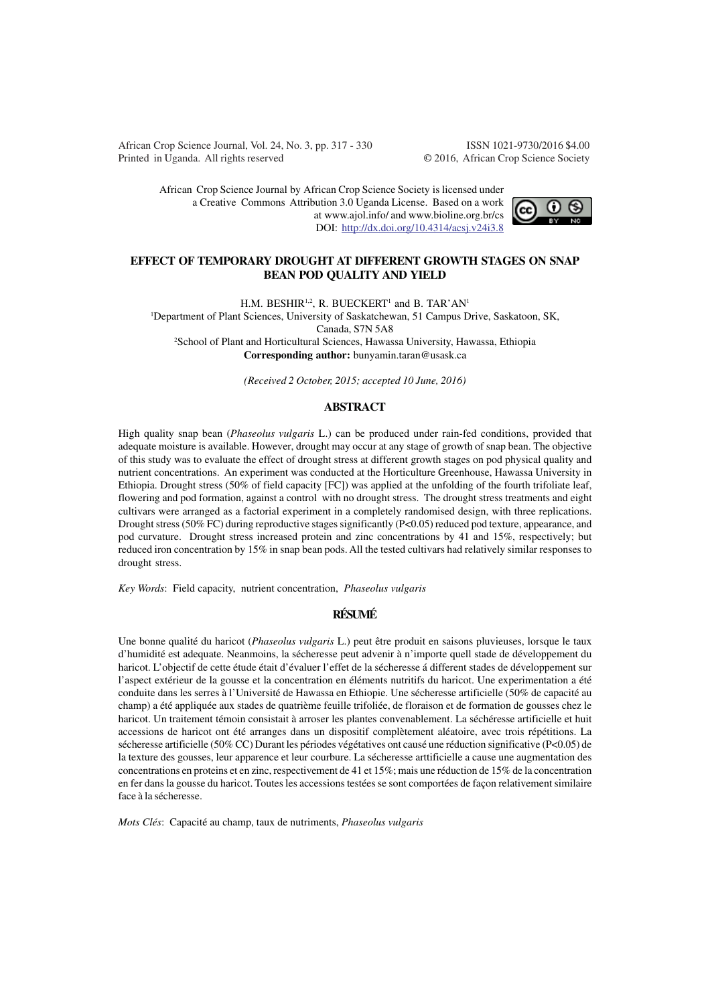African Crop Science Journal, Vol. 24, No. 3, pp. 317 - 330 ISSN 1021-9730/2016 \$4.00 Printed in Uganda. All rights reserved © 2016, African Crop Science Society

African Crop Science Journal by African Crop Science Society is licensed under a Creative Commons Attribution 3.0 Uganda License. Based on a work at www.ajol.info/ and www.bioline.org.br/cs DOI: http://dx.doi.org/10.4314/acsj.v24i3.8



# **EFFECT OF TEMPORARY DROUGHT AT DIFFERENT GROWTH STAGES ON SNAP BEAN POD QUALITY AND YIELD**

H.M. BESHIR<sup>1,2</sup>, R. BUECKERT<sup>1</sup> and B. TAR'AN<sup>1</sup>

<sup>1</sup>Department of Plant Sciences, University of Saskatchewan, 51 Campus Drive, Saskatoon, SK, Canada, S7N 5A8 <sup>2</sup>School of Plant and Horticultural Sciences, Hawassa University, Hawassa, Ethiopia

**Corresponding author:** bunyamin.taran@usask.ca

*(Received 2 October, 2015; accepted 10 June, 2016)*

# **ABSTRACT**

High quality snap bean (*Phaseolus vulgaris* L.) can be produced under rain-fed conditions, provided that adequate moisture is available. However, drought may occur at any stage of growth of snap bean. The objective of this study was to evaluate the effect of drought stress at different growth stages on pod physical quality and nutrient concentrations. An experiment was conducted at the Horticulture Greenhouse, Hawassa University in Ethiopia. Drought stress (50% of field capacity [FC]) was applied at the unfolding of the fourth trifoliate leaf, flowering and pod formation, against a control with no drought stress. The drought stress treatments and eight cultivars were arranged as a factorial experiment in a completely randomised design, with three replications. Drought stress (50% FC) during reproductive stages significantly (P<0.05) reduced pod texture, appearance, and pod curvature. Drought stress increased protein and zinc concentrations by 41 and 15%, respectively; but reduced iron concentration by 15% in snap bean pods. All the tested cultivars had relatively similar responses to drought stress.

*Key Words*: Field capacity, nutrient concentration, *Phaseolus vulgaris*

# **RÉSUMÉ**

Une bonne qualité du haricot (*Phaseolus vulgaris* L.) peut être produit en saisons pluvieuses, lorsque le taux d'humidité est adequate. Neanmoins, la sécheresse peut advenir à n'importe quell stade de développement du haricot. L'objectif de cette étude était d'évaluer l'effet de la sécheresse á different stades de développement sur l'aspect extérieur de la gousse et la concentration en éléments nutritifs du haricot. Une experimentation a été conduite dans les serres à l'Université de Hawassa en Ethiopie. Une sécheresse artificielle (50% de capacité au champ) a été appliquée aux stades de quatrième feuille trifoliée, de floraison et de formation de gousses chez le haricot. Un traitement témoin consistait à arroser les plantes convenablement. La séchéresse artificielle et huit accessions de haricot ont été arranges dans un dispositif complètement aléatoire, avec trois répétitions. La sécheresse artificielle (50% CC) Durant les périodes végétatives ont causé une réduction significative (P<0.05) de la texture des gousses, leur apparence et leur courbure. La sécheresse arttificielle a cause une augmentation des concentrations en proteins et en zinc, respectivement de 41 et 15%; mais une réduction de 15% de la concentration en fer dans la gousse du haricot. Toutes les accessions testées se sont comportées de façon relativement similaire face à la sécheresse.

*Mots Clés*: Capacité au champ, taux de nutriments, *Phaseolus vulgaris*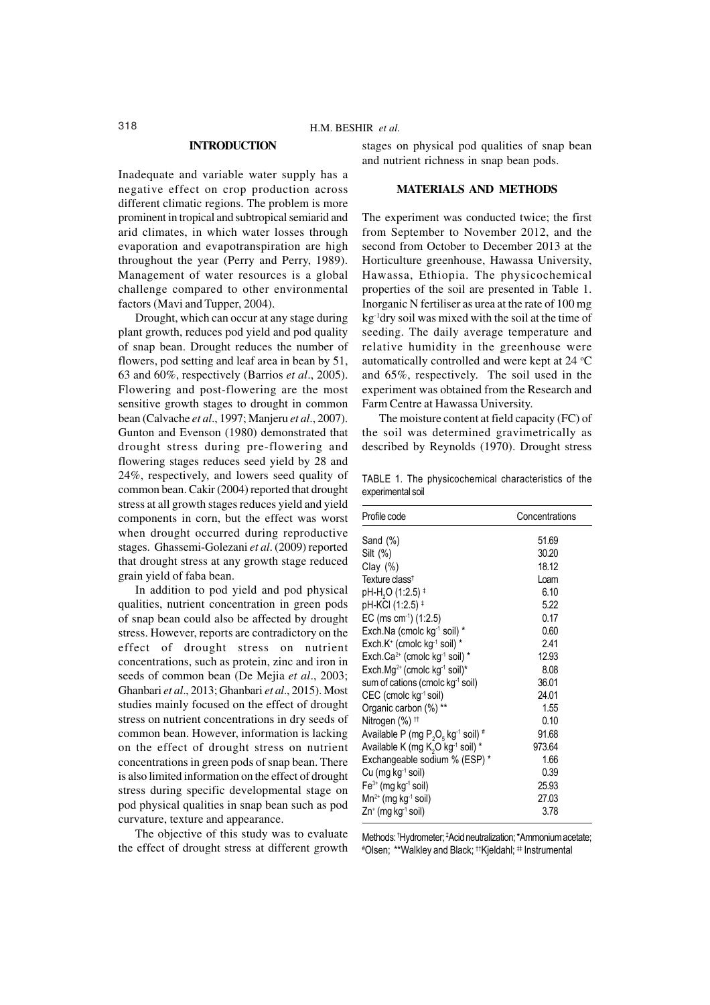### **INTRODUCTION**

Inadequate and variable water supply has a negative effect on crop production across different climatic regions. The problem is more prominent in tropical and subtropical semiarid and arid climates, in which water losses through evaporation and evapotranspiration are high throughout the year (Perry and Perry, 1989). Management of water resources is a global challenge compared to other environmental factors (Mavi and Tupper, 2004).

Drought, which can occur at any stage during plant growth, reduces pod yield and pod quality of snap bean. Drought reduces the number of flowers, pod setting and leaf area in bean by 51, 63 and 60%, respectively (Barrios *et al*., 2005). Flowering and post-flowering are the most sensitive growth stages to drought in common bean (Calvache *et al*., 1997; Manjeru *et al*., 2007). Gunton and Evenson (1980) demonstrated that drought stress during pre-flowering and flowering stages reduces seed yield by 28 and 24%, respectively, and lowers seed quality of common bean. Cakir (2004) reported that drought stress at all growth stages reduces yield and yield components in corn, but the effect was worst when drought occurred during reproductive stages. Ghassemi-Golezani *et al*. (2009) reported that drought stress at any growth stage reduced grain yield of faba bean.

In addition to pod yield and pod physical qualities, nutrient concentration in green pods of snap bean could also be affected by drought stress. However, reports are contradictory on the effect of drought stress on nutrient concentrations, such as protein, zinc and iron in seeds of common bean (De Mejia *et al*., 2003; Ghanbari *et al*., 2013; Ghanbari *et al*., 2015). Most studies mainly focused on the effect of drought stress on nutrient concentrations in dry seeds of common bean. However, information is lacking on the effect of drought stress on nutrient concentrations in green pods of snap bean. There is also limited information on the effect of drought stress during specific developmental stage on pod physical qualities in snap bean such as pod curvature, texture and appearance.

The objective of this study was to evaluate the effect of drought stress at different growth stages on physical pod qualities of snap bean and nutrient richness in snap bean pods.

# **MATERIALS AND METHODS**

The experiment was conducted twice; the first from September to November 2012, and the second from October to December 2013 at the Horticulture greenhouse, Hawassa University, Hawassa, Ethiopia. The physicochemical properties of the soil are presented in Table 1. Inorganic N fertiliser as urea at the rate of 100 mg kg-1dry soil was mixed with the soil at the time of seeding. The daily average temperature and relative humidity in the greenhouse were automatically controlled and were kept at  $24^{\circ}$ C and 65%, respectively. The soil used in the experiment was obtained from the Research and Farm Centre at Hawassa University.

The moisture content at field capacity (FC) of the soil was determined gravimetrically as described by Reynolds (1970). Drought stress

TABLE 1. The physicochemical characteristics of the experimental soil

| Profile code                                                                                                                                         | Concentrations |
|------------------------------------------------------------------------------------------------------------------------------------------------------|----------------|
| Sand (%)                                                                                                                                             | 51.69          |
| Silt (%)                                                                                                                                             | 30.20          |
| Clay (%)                                                                                                                                             | 18.12          |
| Texture class <sup>†</sup>                                                                                                                           | Loam           |
| pH-H <sub>2</sub> O (1:2.5) ‡                                                                                                                        | 6.10           |
| pH-KCl (1:2.5) ‡                                                                                                                                     | 5.22           |
| EC (ms cm <sup>-1</sup> ) (1:2.5)                                                                                                                    | 0.17           |
| Exch.Na (cmolc kg <sup>-1</sup> soil) *                                                                                                              | 0.60           |
| Exch.K <sup>+</sup> (cmolc kg <sup>-1</sup> soil) *                                                                                                  | 2.41           |
| Exch.Ca <sup>2+</sup> (cmolc kg <sup>-1</sup> soil) *                                                                                                | 12.93          |
| Exch.Mg <sup>2+</sup> (cmolc kg <sup>-1</sup> soil)*                                                                                                 | 8.08           |
| sum of cations (cmolc kg <sup>-1</sup> soil)                                                                                                         | 36.01          |
| CEC (cmolc kg <sup>-1</sup> soil)                                                                                                                    | 24.01          |
| Organic carbon (%) **                                                                                                                                | 1.55           |
| Nitrogen (%) <sup>††</sup>                                                                                                                           | 0.10           |
| Available P (mg $\mathsf{P}_{\scriptscriptstyle{2}}\mathsf{O}_{\scriptscriptstyle{5}}$ kg $^{\scriptscriptstyle{1}}$ soil) $^{\scriptscriptstyle\#}$ | 91.68          |
| Available K (mg K <sub>2</sub> O kg <sup>-1</sup> soil) *                                                                                            | 973.64         |
| Exchangeable sodium % (ESP) *                                                                                                                        | 1.66           |
| Cu (mg kg <sup>-1</sup> soil)                                                                                                                        | 0.39           |
| Fe <sup>3+</sup> (mg kg <sup>-1</sup> soil)                                                                                                          | 25.93          |
| Mn <sup>2+</sup> (mg kg <sup>-1</sup> soil)                                                                                                          | 27.03          |
| Zn* (mg kg <sup>-1</sup> soil)                                                                                                                       | 3.78           |
|                                                                                                                                                      |                |

Methods: †Hydrometer; ‡Acid neutralization; \*Ammonium acetate; #Olsen; \*\*Walkley and Black; ††Kjeldahl; ‡‡ Instrumental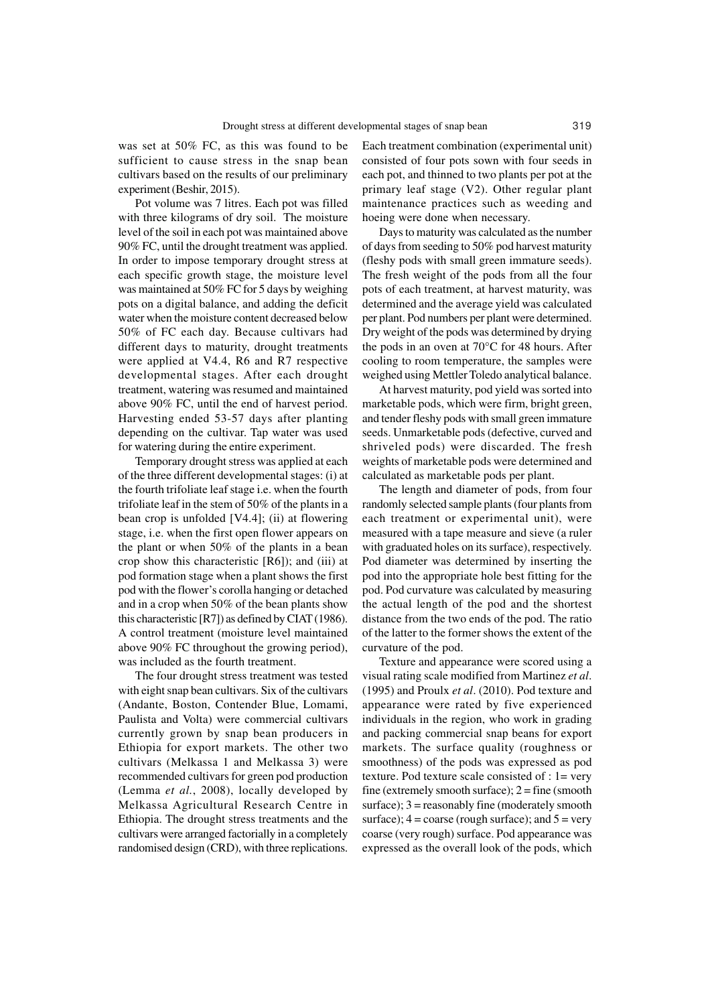was set at 50% FC, as this was found to be sufficient to cause stress in the snap bean cultivars based on the results of our preliminary experiment (Beshir, 2015).

Pot volume was 7 litres. Each pot was filled with three kilograms of dry soil. The moisture level of the soil in each pot was maintained above 90% FC, until the drought treatment was applied. In order to impose temporary drought stress at each specific growth stage, the moisture level was maintained at 50% FC for 5 days by weighing pots on a digital balance, and adding the deficit water when the moisture content decreased below 50% of FC each day. Because cultivars had different days to maturity, drought treatments were applied at V4.4, R6 and R7 respective developmental stages. After each drought treatment, watering was resumed and maintained above 90% FC, until the end of harvest period. Harvesting ended 53-57 days after planting depending on the cultivar. Tap water was used for watering during the entire experiment.

Temporary drought stress was applied at each of the three different developmental stages: (i) at the fourth trifoliate leaf stage i.e. when the fourth trifoliate leaf in the stem of 50% of the plants in a bean crop is unfolded [V4.4]; (ii) at flowering stage, i.e. when the first open flower appears on the plant or when 50% of the plants in a bean crop show this characteristic [R6]); and (iii) at pod formation stage when a plant shows the first pod with the flower's corolla hanging or detached and in a crop when 50% of the bean plants show this characteristic [R7]) as defined by CIAT (1986). A control treatment (moisture level maintained above 90% FC throughout the growing period), was included as the fourth treatment.

The four drought stress treatment was tested with eight snap bean cultivars. Six of the cultivars (Andante, Boston, Contender Blue, Lomami, Paulista and Volta) were commercial cultivars currently grown by snap bean producers in Ethiopia for export markets. The other two cultivars (Melkassa 1 and Melkassa 3) were recommended cultivars for green pod production (Lemma *et al.*, 2008), locally developed by Melkassa Agricultural Research Centre in Ethiopia. The drought stress treatments and the cultivars were arranged factorially in a completely randomised design (CRD), with three replications.

Each treatment combination (experimental unit) consisted of four pots sown with four seeds in each pot, and thinned to two plants per pot at the primary leaf stage (V2). Other regular plant maintenance practices such as weeding and hoeing were done when necessary.

Days to maturity was calculated as the number of days from seeding to 50% pod harvest maturity (fleshy pods with small green immature seeds). The fresh weight of the pods from all the four pots of each treatment, at harvest maturity, was determined and the average yield was calculated per plant. Pod numbers per plant were determined. Dry weight of the pods was determined by drying the pods in an oven at 70°C for 48 hours. After cooling to room temperature, the samples were weighed using Mettler Toledo analytical balance.

At harvest maturity, pod yield was sorted into marketable pods, which were firm, bright green, and tender fleshy pods with small green immature seeds. Unmarketable pods (defective, curved and shriveled pods) were discarded. The fresh weights of marketable pods were determined and calculated as marketable pods per plant.

The length and diameter of pods, from four randomly selected sample plants (four plants from each treatment or experimental unit), were measured with a tape measure and sieve (a ruler with graduated holes on its surface), respectively. Pod diameter was determined by inserting the pod into the appropriate hole best fitting for the pod. Pod curvature was calculated by measuring the actual length of the pod and the shortest distance from the two ends of the pod. The ratio of the latter to the former shows the extent of the curvature of the pod.

Texture and appearance were scored using a visual rating scale modified from Martinez *et al*. (1995) and Proulx *et al*. (2010). Pod texture and appearance were rated by five experienced individuals in the region, who work in grading and packing commercial snap beans for export markets. The surface quality (roughness or smoothness) of the pods was expressed as pod texture. Pod texture scale consisted of : 1= very fine (extremely smooth surface);  $2 =$  fine (smooth) surface);  $3 =$  reasonably fine (moderately smooth surface);  $4 = \text{coarse}$  (rough surface); and  $5 = \text{very}$ coarse (very rough) surface. Pod appearance was expressed as the overall look of the pods, which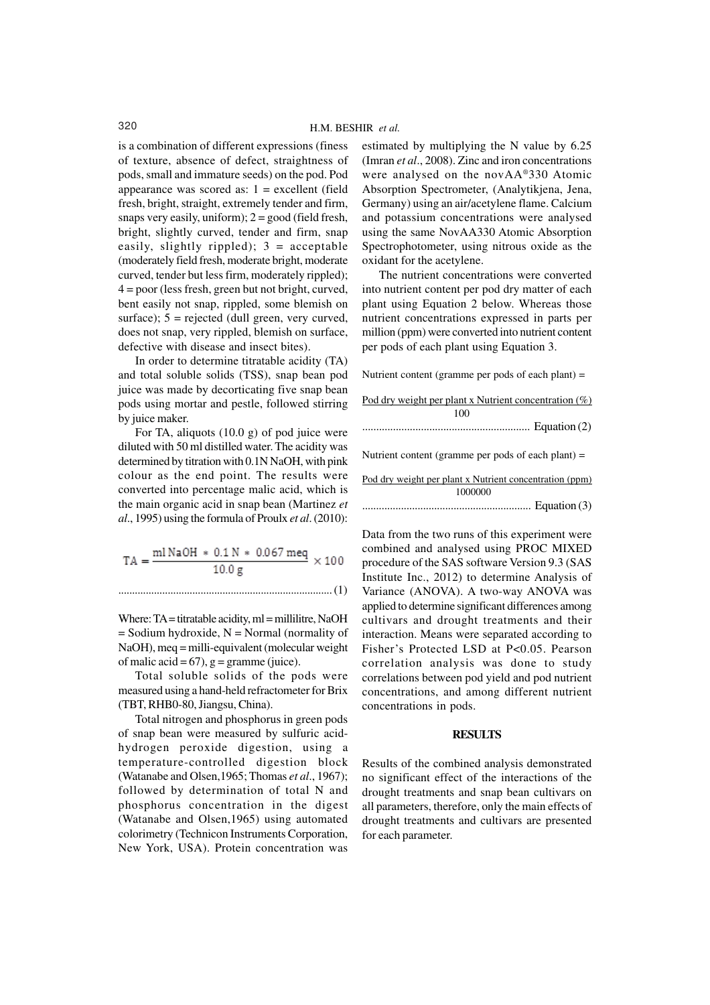# 320 H.M. BESHIR *et al.*

is a combination of different expressions (finess of texture, absence of defect, straightness of pods, small and immature seeds) on the pod. Pod appearance was scored as:  $1 =$  excellent (field fresh, bright, straight, extremely tender and firm, snaps very easily, uniform);  $2 = \text{good}$  (field fresh, bright, slightly curved, tender and firm, snap easily, slightly rippled);  $3 =$  acceptable (moderately field fresh, moderate bright, moderate curved, tender but less firm, moderately rippled); 4 = poor (less fresh, green but not bright, curved, bent easily not snap, rippled, some blemish on surface);  $5 =$  rejected (dull green, very curved, does not snap, very rippled, blemish on surface, defective with disease and insect bites).

In order to determine titratable acidity (TA) and total soluble solids (TSS), snap bean pod juice was made by decorticating five snap bean pods using mortar and pestle, followed stirring by juice maker.

For TA, aliquots (10.0 g) of pod juice were diluted with 50 ml distilled water. The acidity was determined by titration with 0.1N NaOH, with pink colour as the end point. The results were converted into percentage malic acid, which is the main organic acid in snap bean (Martinez *et al*., 1995) using the formula of Proulx *et al*. (2010):

$$
TA = \frac{ml NaOH * 0.1 N * 0.067 meq}{10.0 g} \times 100
$$

Where: TA = titratable acidity, ml = millilitre, NaOH  $=$  Sodium hydroxide,  $N =$  Normal (normality of NaOH), meq = milli-equivalent (molecular weight of malic acid =  $67$ ), g = gramme (juice).

Total soluble solids of the pods were measured using a hand-held refractometer for Brix (TBT, RHB0-80, Jiangsu, China).

Total nitrogen and phosphorus in green pods of snap bean were measured by sulfuric acidhydrogen peroxide digestion, using a temperature-controlled digestion block (Watanabe and Olsen,1965; Thomas *et al*., 1967); followed by determination of total N and phosphorus concentration in the digest (Watanabe and Olsen,1965) using automated colorimetry (Technicon Instruments Corporation, New York, USA). Protein concentration was

estimated by multiplying the N value by 6.25 (Imran *et al*., 2008). Zinc and iron concentrations were analysed on the novAA®330 Atomic Absorption Spectrometer, (Analytikjena, Jena, Germany) using an air/acetylene flame. Calcium and potassium concentrations were analysed using the same NovAA330 Atomic Absorption Spectrophotometer, using nitrous oxide as the oxidant for the acetylene.

The nutrient concentrations were converted into nutrient content per pod dry matter of each plant using Equation 2 below. Whereas those nutrient concentrations expressed in parts per million (ppm) were converted into nutrient content per pods of each plant using Equation 3.

Nutrient content (gramme per pods of each plant)  $=$ 

| Pod dry weight per plant x Nutrient concentration $(\%)$           |
|--------------------------------------------------------------------|
| 100                                                                |
|                                                                    |
|                                                                    |
| Nutrient content (gramme per pods of each plant) $=$               |
| Pod dry weight per plant x Nutrient concentration (ppm)<br>1000000 |
|                                                                    |
|                                                                    |

Data from the two runs of this experiment were combined and analysed using PROC MIXED procedure of the SAS software Version 9.3 (SAS Institute Inc., 2012) to determine Analysis of Variance (ANOVA). A two-way ANOVA was applied to determine significant differences among cultivars and drought treatments and their interaction. Means were separated according to Fisher's Protected LSD at P<0.05. Pearson correlation analysis was done to study correlations between pod yield and pod nutrient concentrations, and among different nutrient concentrations in pods.

#### **RESULTS**

Results of the combined analysis demonstrated no significant effect of the interactions of the drought treatments and snap bean cultivars on all parameters, therefore, only the main effects of drought treatments and cultivars are presented for each parameter.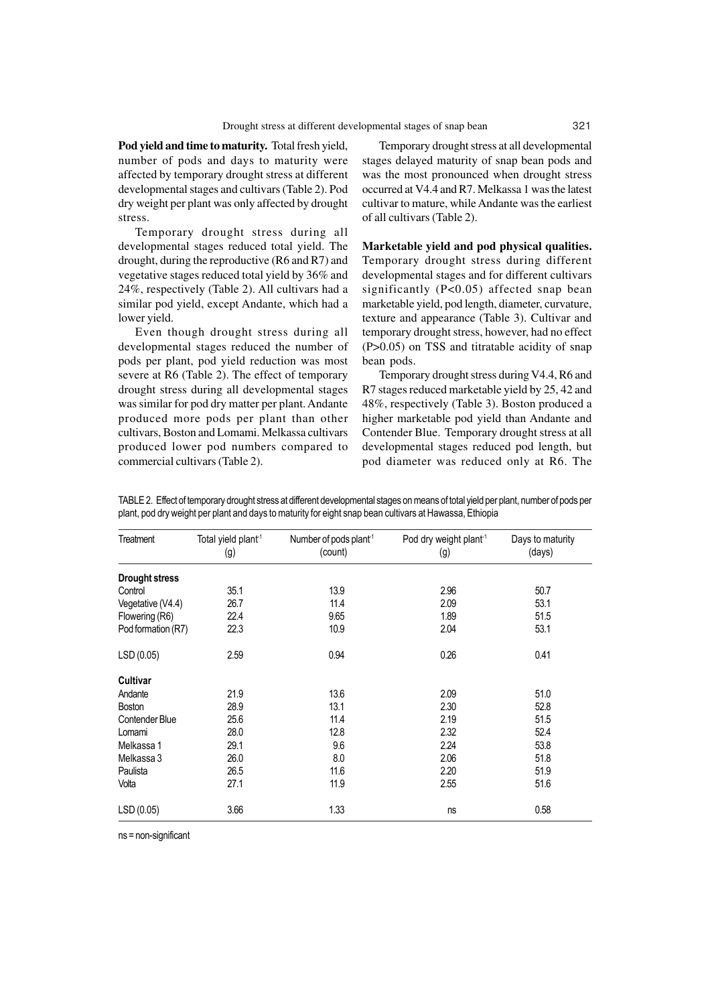**Pod yield and time to maturity.** Total fresh yield, number of pods and days to maturity were affected by temporary drought stress at different developmental stages and cultivars (Table 2). Pod dry weight per plant was only affected by drought stress.

Temporary drought stress during all developmental stages reduced total yield. The drought, during the reproductive (R6 and R7) and vegetative stages reduced total yield by 36% and 24%, respectively (Table 2). All cultivars had a similar pod yield, except Andante, which had a lower yield.

Even though drought stress during all developmental stages reduced the number of pods per plant, pod yield reduction was most severe at R6 (Table 2). The effect of temporary drought stress during all developmental stages was similar for pod dry matter per plant. Andante produced more pods per plant than other cultivars, Boston and Lomami. Melkassa cultivars produced lower pod numbers compared to commercial cultivars (Table 2).

Temporary drought stress at all developmental stages delayed maturity of snap bean pods and was the most pronounced when drought stress occurred at V4.4 and R7. Melkassa 1 was the latest cultivar to mature, while Andante was the earliest of all cultivars (Table 2).

**Marketable yield and pod physical qualities.** Temporary drought stress during different developmental stages and for different cultivars significantly (P<0.05) affected snap bean marketable yield, pod length, diameter, curvature, texture and appearance (Table 3). Cultivar and temporary drought stress, however, had no effect (P>0.05) on TSS and titratable acidity of snap bean pods.

Temporary drought stress during V4.4, R6 and R7 stages reduced marketable yield by 25, 42 and 48%, respectively (Table 3). Boston produced a higher marketable pod yield than Andante and Contender Blue. Temporary drought stress at all developmental stages reduced pod length, but pod diameter was reduced only at R6. The

| Total yield plant <sup>-1</sup><br>Treatment<br>(g) |      | Number of pods plant <sup>1</sup><br>(count) | Pod dry weight plant <sup>1</sup><br>(g) | Days to maturity<br>(days) |  |
|-----------------------------------------------------|------|----------------------------------------------|------------------------------------------|----------------------------|--|
| <b>Drought stress</b>                               |      |                                              |                                          |                            |  |
| Control                                             | 35.1 | 13.9                                         | 2.96                                     | 50.7                       |  |
| Vegetative (V4.4)                                   | 26.7 | 11.4                                         | 2.09                                     | 53.1                       |  |
| Flowering (R6)                                      | 22.4 | 9.65                                         | 1.89                                     | 51.5                       |  |
| Pod formation (R7)                                  | 22.3 | 10.9                                         | 2.04                                     | 53.1                       |  |
| LSD(0.05)                                           | 2.59 | 0.94                                         | 0.26                                     | 0.41                       |  |
| Cultivar                                            |      |                                              |                                          |                            |  |
| Andante                                             | 21.9 | 13.6                                         | 2.09                                     | 51.0                       |  |
| <b>Boston</b>                                       | 28.9 | 13.1                                         | 2.30                                     | 52.8                       |  |
| <b>Contender Blue</b>                               | 25.6 | 11.4                                         | 2.19                                     | 51.5                       |  |
| Lomami                                              | 28.0 | 12.8                                         | 2.32                                     | 52.4                       |  |
| Melkassa 1                                          | 29.1 | 9.6                                          | 2.24                                     | 53.8                       |  |
| Melkassa 3                                          | 26.0 | 8.0                                          | 2.06                                     | 51.8                       |  |
| Paulista                                            | 26.5 | 11.6                                         | 2.20                                     | 51.9                       |  |
| Volta                                               | 27.1 | 11.9                                         | 2.55                                     | 51.6                       |  |
| LSD(0.05)                                           | 3.66 | 1.33                                         | ns                                       | 0.58                       |  |

TABLE 2. Effect of temporary drought stress at different developmental stages on means of total yield per plant, number of pods per plant, pod dry weight per plant and days to maturity for eight snap bean cultivars at Hawassa, Ethiopia

ns = non-significant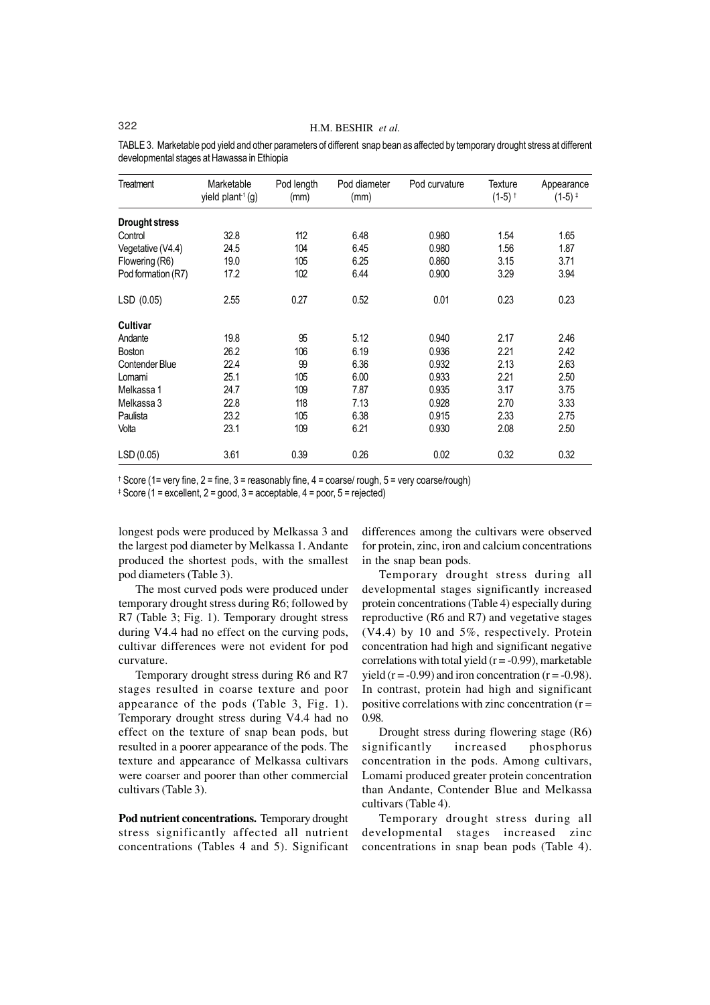# 322 H.M. BESHIR *et al.*

| Treatment             | Marketable<br>yield plant <sup>1</sup> $(g)$ | Pod length<br>(mm) | Pod diameter<br>(mm) | Pod curvature | Texture<br>$(1-5)$ <sup>t</sup> | Appearance<br>$(1-5)$ <sup>#</sup> |
|-----------------------|----------------------------------------------|--------------------|----------------------|---------------|---------------------------------|------------------------------------|
| <b>Drought stress</b> |                                              |                    |                      |               |                                 |                                    |
| Control               | 32.8                                         | 112                | 6.48                 | 0.980         | 1.54                            | 1.65                               |
| Vegetative (V4.4)     | 24.5                                         | 104                | 6.45                 | 0.980         | 1.56                            | 1.87                               |
| Flowering (R6)        | 19.0                                         | 105                | 6.25                 | 0.860         | 3.15                            | 3.71                               |
| Pod formation (R7)    | 17.2                                         | 102                | 6.44                 | 0.900         | 3.29                            | 3.94                               |
| $LSD$ (0.05)          | 2.55                                         | 0.27               | 0.52                 | 0.01          | 0.23                            | 0.23                               |
| Cultivar              |                                              |                    |                      |               |                                 |                                    |
| Andante               | 19.8                                         | 95                 | 5.12                 | 0.940         | 2.17                            | 2.46                               |
| <b>Boston</b>         | 26.2                                         | 106                | 6.19                 | 0.936         | 2.21                            | 2.42                               |
| <b>Contender Blue</b> | 22.4                                         | 99                 | 6.36                 | 0.932         | 2.13                            | 2.63                               |
| Lomami                | 25.1                                         | 105                | 6.00                 | 0.933         | 2.21                            | 2.50                               |
| Melkassa 1            | 24.7                                         | 109                | 7.87                 | 0.935         | 3.17                            | 3.75                               |
| Melkassa 3            | 22.8                                         | 118                | 7.13                 | 0.928         | 2.70                            | 3.33                               |
| Paulista              | 23.2                                         | 105                | 6.38                 | 0.915         | 2.33                            | 2.75                               |
| Volta                 | 23.1                                         | 109                | 6.21                 | 0.930         | 2.08                            | 2.50                               |
| LSD (0.05)            | 3.61                                         | 0.39               | 0.26                 | 0.02          | 0.32                            | 0.32                               |

TABLE 3. Marketable pod yield and other parameters of different snap bean as affected by temporary drought stress at different developmental stages at Hawassa in Ethiopia

† Score (1= very fine, 2 = fine, 3 = reasonably fine, 4 = coarse/ rough, 5 = very coarse/rough)

‡ Score (1 = excellent, 2 = good, 3 = acceptable, 4 = poor, 5 = rejected)

longest pods were produced by Melkassa 3 and the largest pod diameter by Melkassa 1. Andante produced the shortest pods, with the smallest pod diameters (Table 3).

The most curved pods were produced under temporary drought stress during R6; followed by R7 (Table 3; Fig. 1). Temporary drought stress during V4.4 had no effect on the curving pods, cultivar differences were not evident for pod curvature.

Temporary drought stress during R6 and R7 stages resulted in coarse texture and poor appearance of the pods (Table 3, Fig. 1). Temporary drought stress during V4.4 had no effect on the texture of snap bean pods, but resulted in a poorer appearance of the pods. The texture and appearance of Melkassa cultivars were coarser and poorer than other commercial cultivars (Table 3).

**Pod nutrient concentrations.** Temporary drought stress significantly affected all nutrient concentrations (Tables 4 and 5). Significant

differences among the cultivars were observed for protein, zinc, iron and calcium concentrations in the snap bean pods.

Temporary drought stress during all developmental stages significantly increased protein concentrations (Table 4) especially during reproductive (R6 and R7) and vegetative stages (V4.4) by 10 and 5%, respectively. Protein concentration had high and significant negative correlations with total yield  $(r = -0.99)$ , marketable yield  $(r = -0.99)$  and iron concentration  $(r = -0.98)$ . In contrast, protein had high and significant positive correlations with zinc concentration  $(r =$ 0.98.

Drought stress during flowering stage (R6) significantly increased phosphorus concentration in the pods. Among cultivars, Lomami produced greater protein concentration than Andante, Contender Blue and Melkassa cultivars (Table 4).

Temporary drought stress during all developmental stages increased zinc concentrations in snap bean pods (Table 4).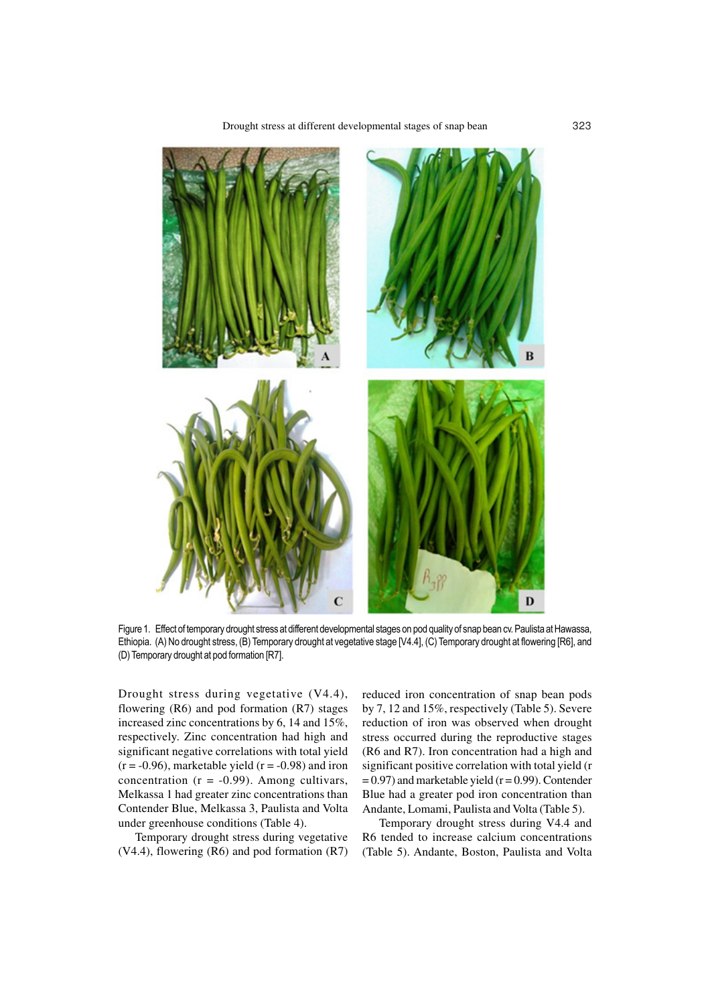

Figure 1. Effect of temporary drought stress at different developmental stages on pod quality of snap bean cv. Paulista at Hawassa, Ethiopia. (A) No drought stress, (B) Temporary drought at vegetative stage [V4.4], (C) Temporary drought at flowering [R6], and (D) Temporary drought at pod formation [R7].

Drought stress during vegetative (V4.4), flowering (R6) and pod formation (R7) stages increased zinc concentrations by 6, 14 and 15%, respectively. Zinc concentration had high and significant negative correlations with total yield  $(r = -0.96)$ , marketable yield  $(r = -0.98)$  and iron concentration  $(r = -0.99)$ . Among cultivars, Melkassa 1 had greater zinc concentrations than Contender Blue, Melkassa 3, Paulista and Volta under greenhouse conditions (Table 4).

Temporary drought stress during vegetative (V4.4), flowering (R6) and pod formation (R7)

reduced iron concentration of snap bean pods by 7, 12 and 15%, respectively (Table 5). Severe reduction of iron was observed when drought stress occurred during the reproductive stages (R6 and R7). Iron concentration had a high and significant positive correlation with total yield (r  $= 0.97$ ) and marketable yield ( $r = 0.99$ ). Contender Blue had a greater pod iron concentration than Andante, Lomami, Paulista and Volta (Table 5).

Temporary drought stress during V4.4 and R6 tended to increase calcium concentrations (Table 5). Andante, Boston, Paulista and Volta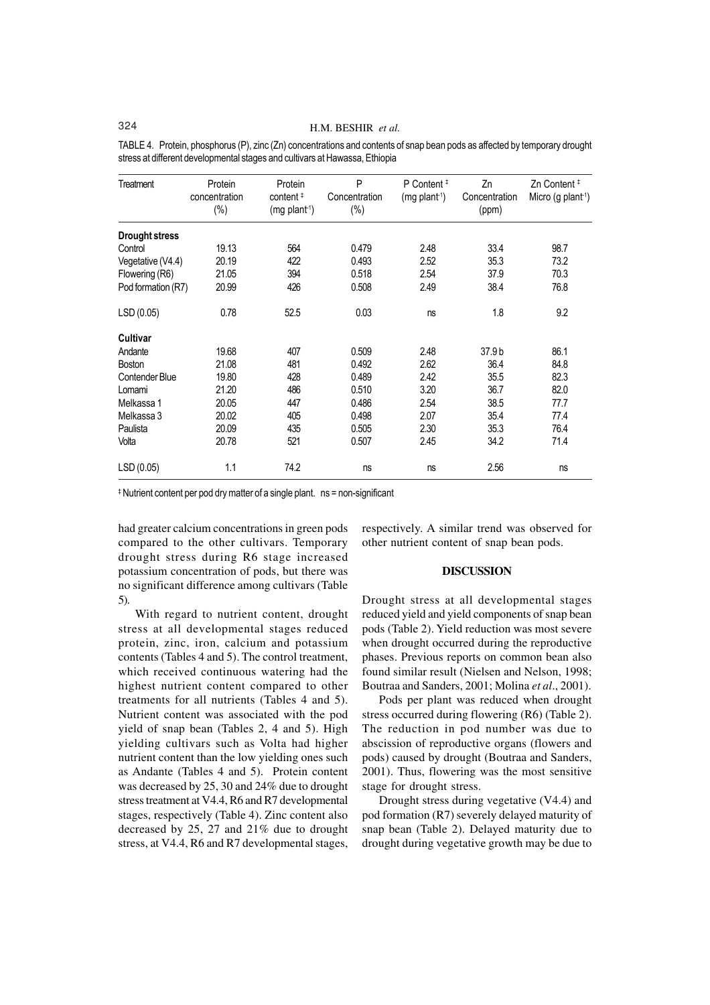# 324 H.M. BESHIR *et al.*

| Treatment             | Protein<br>concentration<br>$(\%)$ | Protein<br>content $‡$<br>(mg plant <sup>-1</sup> ) | P<br>Concentration<br>$(\%)$ | P Content <sup>#</sup><br>(mg plant <sup>-1</sup> ) | Zn<br>Concentration<br>(ppm) | Zn Content <sup>#</sup><br>Micro (g plant <sup>1</sup> ) |
|-----------------------|------------------------------------|-----------------------------------------------------|------------------------------|-----------------------------------------------------|------------------------------|----------------------------------------------------------|
| <b>Drought stress</b> |                                    |                                                     |                              |                                                     |                              |                                                          |
| Control               | 19.13                              | 564                                                 | 0.479                        | 2.48                                                | 33.4                         | 98.7                                                     |
| Vegetative (V4.4)     | 20.19                              | 422                                                 | 0.493                        | 2.52                                                | 35.3                         | 73.2                                                     |
| Flowering (R6)        | 21.05                              | 394                                                 | 0.518                        | 2.54                                                | 37.9                         | 70.3                                                     |
| Pod formation (R7)    | 20.99                              | 426                                                 | 0.508                        | 2.49                                                | 38.4                         | 76.8                                                     |
| LSD (0.05)            | 0.78                               | 52.5                                                | 0.03                         | ns                                                  | 1.8                          | 9.2                                                      |
| <b>Cultivar</b>       |                                    |                                                     |                              |                                                     |                              |                                                          |
| Andante               | 19.68                              | 407                                                 | 0.509                        | 2.48                                                | 37.9b                        | 86.1                                                     |
| <b>Boston</b>         | 21.08                              | 481                                                 | 0.492                        | 2.62                                                | 36.4                         | 84.8                                                     |
| Contender Blue        | 19.80                              | 428                                                 | 0.489                        | 2.42                                                | 35.5                         | 82.3                                                     |
| Lomami                | 21.20                              | 486                                                 | 0.510                        | 3.20                                                | 36.7                         | 82.0                                                     |
| Melkassa 1            | 20.05                              | 447                                                 | 0.486                        | 2.54                                                | 38.5                         | 77.7                                                     |
| Melkassa 3            | 20.02                              | 405                                                 | 0.498                        | 2.07                                                | 35.4                         | 77.4                                                     |
| Paulista              | 20.09                              | 435                                                 | 0.505                        | 2.30                                                | 35.3                         | 76.4                                                     |
| Volta                 | 20.78                              | 521                                                 | 0.507                        | 2.45                                                | 34.2                         | 71.4                                                     |
| LSD (0.05)            | 1.1                                | 74.2                                                | ns                           | ns                                                  | 2.56                         | ns                                                       |

TABLE 4. Protein, phosphorus (P), zinc (Zn) concentrations and contents of snap bean pods as affected by temporary drought stress at different developmental stages and cultivars at Hawassa, Ethiopia

‡ Nutrient content per pod dry matter of a single plant. ns = non-significant

had greater calcium concentrations in green pods compared to the other cultivars. Temporary drought stress during R6 stage increased potassium concentration of pods, but there was no significant difference among cultivars (Table 5).

With regard to nutrient content, drought stress at all developmental stages reduced protein, zinc, iron, calcium and potassium contents (Tables 4 and 5). The control treatment, which received continuous watering had the highest nutrient content compared to other treatments for all nutrients (Tables 4 and 5). Nutrient content was associated with the pod yield of snap bean (Tables 2, 4 and 5). High yielding cultivars such as Volta had higher nutrient content than the low yielding ones such as Andante (Tables 4 and 5). Protein content was decreased by 25, 30 and 24% due to drought stress treatment at V4.4, R6 and R7 developmental stages, respectively (Table 4). Zinc content also decreased by 25, 27 and 21% due to drought stress, at V4.4, R6 and R7 developmental stages,

respectively. A similar trend was observed for other nutrient content of snap bean pods.

### **DISCUSSION**

Drought stress at all developmental stages reduced yield and yield components of snap bean pods (Table 2). Yield reduction was most severe when drought occurred during the reproductive phases. Previous reports on common bean also found similar result (Nielsen and Nelson, 1998; Boutraa and Sanders, 2001; Molina *et al*., 2001).

Pods per plant was reduced when drought stress occurred during flowering (R6) (Table 2). The reduction in pod number was due to abscission of reproductive organs (flowers and pods) caused by drought (Boutraa and Sanders, 2001). Thus, flowering was the most sensitive stage for drought stress.

Drought stress during vegetative (V4.4) and pod formation (R7) severely delayed maturity of snap bean (Table 2). Delayed maturity due to drought during vegetative growth may be due to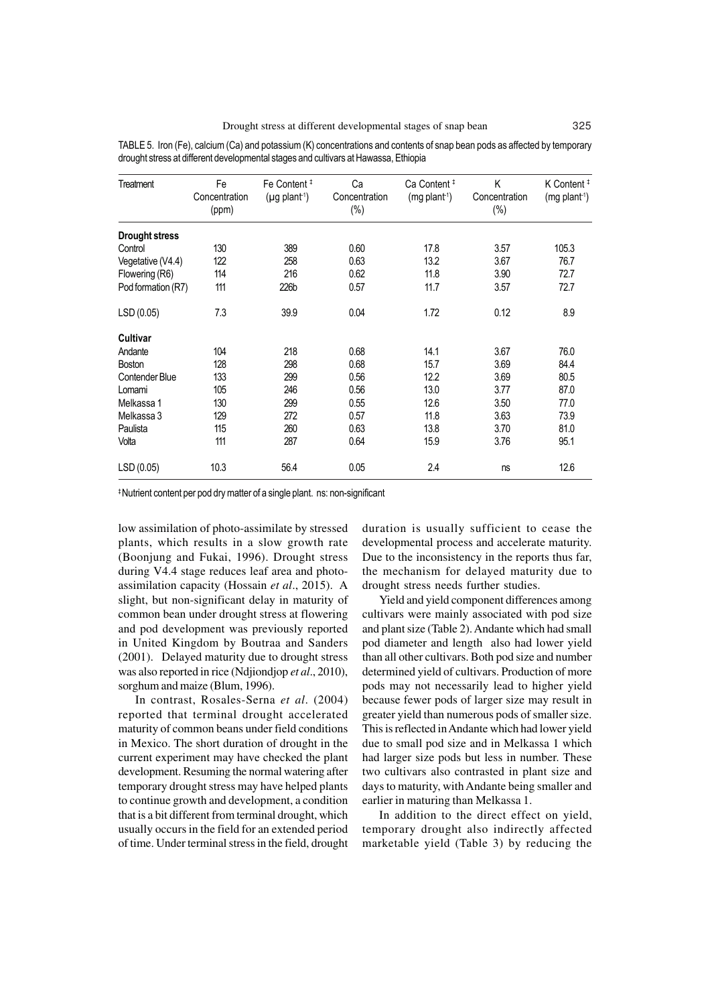Drought stress at different developmental stages of snap bean 325

| Treatment             | Fe<br>Concentration<br>(ppm) | Fe Content <sup>#</sup><br>$(\mu g$ plant <sup>-1</sup> ) | Ca<br>Concentration<br>$(\%)$ | Ca Content <sup>#</sup><br>$(mg$ plant <sup>-1</sup> ) | Κ<br>Concentration<br>(%) | K Content $‡$<br>$(mg$ plant <sup>-1</sup> ) |
|-----------------------|------------------------------|-----------------------------------------------------------|-------------------------------|--------------------------------------------------------|---------------------------|----------------------------------------------|
| <b>Drought stress</b> |                              |                                                           |                               |                                                        |                           |                                              |
| Control               | 130                          | 389                                                       | 0.60                          | 17.8                                                   | 3.57                      | 105.3                                        |
| Vegetative (V4.4)     | 122                          | 258                                                       | 0.63                          | 13.2                                                   | 3.67                      | 76.7                                         |
| Flowering (R6)        | 114                          | 216                                                       | 0.62                          | 11.8                                                   | 3.90                      | 72.7                                         |
| Pod formation (R7)    | 111                          | 226b                                                      | 0.57                          | 11.7                                                   | 3.57                      | 72.7                                         |
| LSD (0.05)            | 7.3                          | 39.9                                                      | 0.04                          | 1.72                                                   | 0.12                      | 8.9                                          |
| Cultivar              |                              |                                                           |                               |                                                        |                           |                                              |
| Andante               | 104                          | 218                                                       | 0.68                          | 14.1                                                   | 3.67                      | 76.0                                         |
| <b>Boston</b>         | 128                          | 298                                                       | 0.68                          | 15.7                                                   | 3.69                      | 84.4                                         |
| <b>Contender Blue</b> | 133                          | 299                                                       | 0.56                          | 12.2                                                   | 3.69                      | 80.5                                         |
| Lomami                | 105                          | 246                                                       | 0.56                          | 13.0                                                   | 3.77                      | 87.0                                         |
| Melkassa 1            | 130                          | 299                                                       | 0.55                          | 12.6                                                   | 3.50                      | 77.0                                         |
| Melkassa 3            | 129                          | 272                                                       | 0.57                          | 11.8                                                   | 3.63                      | 73.9                                         |
| Paulista              | 115                          | 260                                                       | 0.63                          | 13.8                                                   | 3.70                      | 81.0                                         |
| Volta                 | 111                          | 287                                                       | 0.64                          | 15.9                                                   | 3.76                      | 95.1                                         |
| LSD (0.05)            | 10.3                         | 56.4                                                      | 0.05                          | 2.4                                                    | ns                        | 12.6                                         |

TABLE 5. Iron (Fe), calcium (Ca) and potassium (K) concentrations and contents of snap bean pods as affected by temporary drought stress at different developmental stages and cultivars at Hawassa, Ethiopia

‡ Nutrient content per pod dry matter of a single plant. ns: non-significant

low assimilation of photo-assimilate by stressed plants, which results in a slow growth rate (Boonjung and Fukai, 1996). Drought stress during V4.4 stage reduces leaf area and photoassimilation capacity (Hossain *et al*., 2015). A slight, but non-significant delay in maturity of common bean under drought stress at flowering and pod development was previously reported in United Kingdom by Boutraa and Sanders (2001). Delayed maturity due to drought stress was also reported in rice (Ndjiondjop *et al*., 2010), sorghum and maize (Blum, 1996).

In contrast, Rosales-Serna *et al*. (2004) reported that terminal drought accelerated maturity of common beans under field conditions in Mexico. The short duration of drought in the current experiment may have checked the plant development. Resuming the normal watering after temporary drought stress may have helped plants to continue growth and development, a condition that is a bit different from terminal drought, which usually occurs in the field for an extended period of time. Under terminal stress in the field, drought duration is usually sufficient to cease the developmental process and accelerate maturity. Due to the inconsistency in the reports thus far, the mechanism for delayed maturity due to drought stress needs further studies.

Yield and yield component differences among cultivars were mainly associated with pod size and plant size (Table 2). Andante which had small pod diameter and length also had lower yield than all other cultivars. Both pod size and number determined yield of cultivars. Production of more pods may not necessarily lead to higher yield because fewer pods of larger size may result in greater yield than numerous pods of smaller size. This is reflected in Andante which had lower yield due to small pod size and in Melkassa 1 which had larger size pods but less in number. These two cultivars also contrasted in plant size and days to maturity, with Andante being smaller and earlier in maturing than Melkassa 1.

In addition to the direct effect on yield, temporary drought also indirectly affected marketable yield (Table 3) by reducing the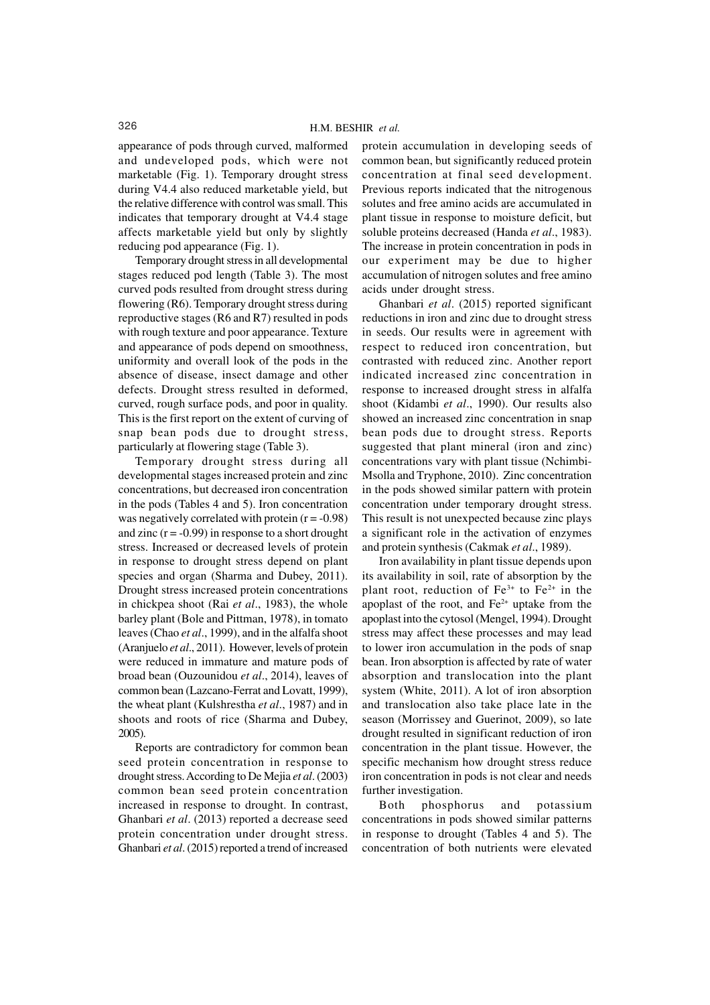appearance of pods through curved, malformed and undeveloped pods, which were not marketable (Fig. 1). Temporary drought stress during V4.4 also reduced marketable yield, but the relative difference with control was small. This indicates that temporary drought at V4.4 stage affects marketable yield but only by slightly reducing pod appearance (Fig. 1).

Temporary drought stress in all developmental stages reduced pod length (Table 3). The most curved pods resulted from drought stress during flowering (R6). Temporary drought stress during reproductive stages (R6 and R7) resulted in pods with rough texture and poor appearance. Texture and appearance of pods depend on smoothness, uniformity and overall look of the pods in the absence of disease, insect damage and other defects. Drought stress resulted in deformed, curved, rough surface pods, and poor in quality. This is the first report on the extent of curving of snap bean pods due to drought stress, particularly at flowering stage (Table 3).

Temporary drought stress during all developmental stages increased protein and zinc concentrations, but decreased iron concentration in the pods (Tables 4 and 5). Iron concentration was negatively correlated with protein  $(r = -0.98)$ and zinc  $(r = -0.99)$  in response to a short drought stress. Increased or decreased levels of protein in response to drought stress depend on plant species and organ (Sharma and Dubey, 2011). Drought stress increased protein concentrations in chickpea shoot (Rai *et al*., 1983), the whole barley plant (Bole and Pittman, 1978), in tomato leaves (Chao *et al*., 1999), and in the alfalfa shoot (Aranjuelo *et al*., 2011). However, levels of protein were reduced in immature and mature pods of broad bean (Ouzounidou *et al*., 2014), leaves of common bean (Lazcano-Ferrat and Lovatt, 1999), the wheat plant (Kulshrestha *et al*., 1987) and in shoots and roots of rice (Sharma and Dubey, 2005).

Reports are contradictory for common bean seed protein concentration in response to drought stress. According to De Mejia *et al*. (2003) common bean seed protein concentration increased in response to drought. In contrast, Ghanbari *et al*. (2013) reported a decrease seed protein concentration under drought stress. Ghanbari *et al*. (2015) reported a trend of increased

protein accumulation in developing seeds of common bean, but significantly reduced protein concentration at final seed development. Previous reports indicated that the nitrogenous solutes and free amino acids are accumulated in plant tissue in response to moisture deficit, but soluble proteins decreased (Handa *et al*., 1983). The increase in protein concentration in pods in our experiment may be due to higher accumulation of nitrogen solutes and free amino acids under drought stress.

Ghanbari *et al*. (2015) reported significant reductions in iron and zinc due to drought stress in seeds. Our results were in agreement with respect to reduced iron concentration, but contrasted with reduced zinc. Another report indicated increased zinc concentration in response to increased drought stress in alfalfa shoot (Kidambi *et al*., 1990). Our results also showed an increased zinc concentration in snap bean pods due to drought stress. Reports suggested that plant mineral (iron and zinc) concentrations vary with plant tissue (Nchimbi-Msolla and Tryphone, 2010). Zinc concentration in the pods showed similar pattern with protein concentration under temporary drought stress. This result is not unexpected because zinc plays a significant role in the activation of enzymes and protein synthesis (Cakmak *et al*., 1989).

Iron availability in plant tissue depends upon its availability in soil, rate of absorption by the plant root, reduction of  $Fe^{3+}$  to  $Fe^{2+}$  in the apoplast of the root, and  $Fe^{2+}$  uptake from the apoplast into the cytosol (Mengel, 1994). Drought stress may affect these processes and may lead to lower iron accumulation in the pods of snap bean. Iron absorption is affected by rate of water absorption and translocation into the plant system (White, 2011). A lot of iron absorption and translocation also take place late in the season (Morrissey and Guerinot, 2009), so late drought resulted in significant reduction of iron concentration in the plant tissue. However, the specific mechanism how drought stress reduce iron concentration in pods is not clear and needs further investigation.

Both phosphorus and potassium concentrations in pods showed similar patterns in response to drought (Tables 4 and 5). The concentration of both nutrients were elevated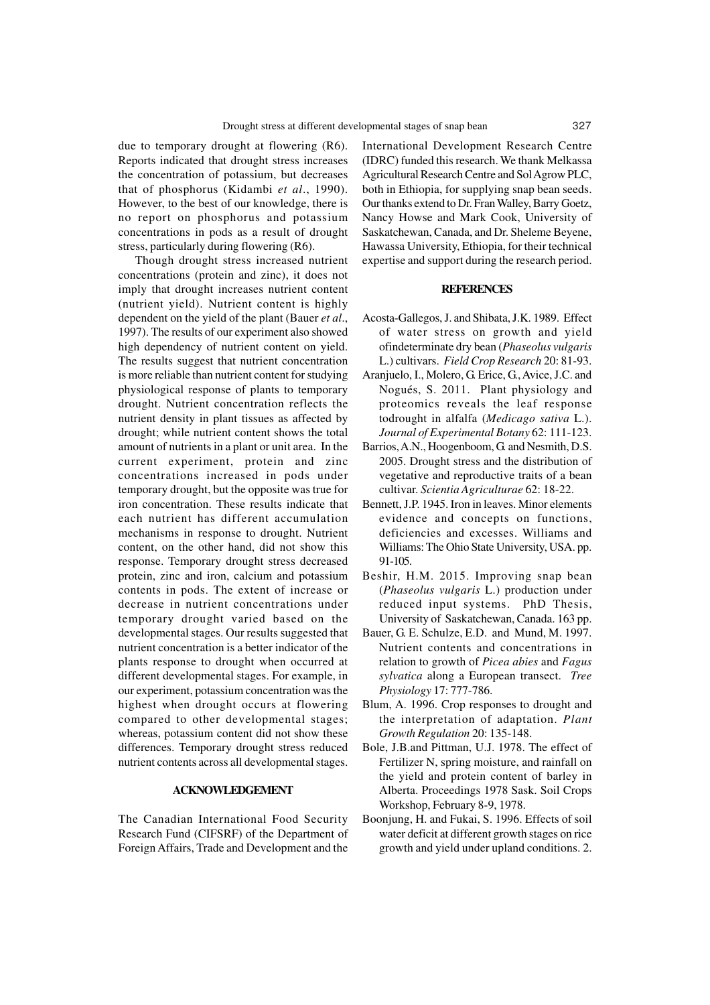due to temporary drought at flowering (R6). Reports indicated that drought stress increases the concentration of potassium, but decreases that of phosphorus (Kidambi *et al*., 1990). However, to the best of our knowledge, there is no report on phosphorus and potassium concentrations in pods as a result of drought stress, particularly during flowering (R6).

Though drought stress increased nutrient concentrations (protein and zinc), it does not imply that drought increases nutrient content (nutrient yield). Nutrient content is highly dependent on the yield of the plant (Bauer *et al*., 1997). The results of our experiment also showed high dependency of nutrient content on yield. The results suggest that nutrient concentration is more reliable than nutrient content for studying physiological response of plants to temporary drought. Nutrient concentration reflects the nutrient density in plant tissues as affected by drought; while nutrient content shows the total amount of nutrients in a plant or unit area. In the current experiment, protein and zinc concentrations increased in pods under temporary drought, but the opposite was true for iron concentration. These results indicate that each nutrient has different accumulation mechanisms in response to drought. Nutrient content, on the other hand, did not show this response. Temporary drought stress decreased protein, zinc and iron, calcium and potassium contents in pods. The extent of increase or decrease in nutrient concentrations under temporary drought varied based on the developmental stages. Our results suggested that nutrient concentration is a better indicator of the plants response to drought when occurred at different developmental stages. For example, in our experiment, potassium concentration was the highest when drought occurs at flowering compared to other developmental stages; whereas, potassium content did not show these differences. Temporary drought stress reduced nutrient contents across all developmental stages.

# **ACKNOWLEDGEMENT**

The Canadian International Food Security Research Fund (CIFSRF) of the Department of Foreign Affairs, Trade and Development and the

International Development Research Centre (IDRC) funded this research. We thank Melkassa Agricultural Research Centre and Sol Agrow PLC, both in Ethiopia, for supplying snap bean seeds. Our thanks extend to Dr. Fran Walley, Barry Goetz, Nancy Howse and Mark Cook, University of Saskatchewan, Canada, and Dr. Sheleme Beyene, Hawassa University, Ethiopia, for their technical expertise and support during the research period.

## **REFERENCES**

- Acosta-Gallegos, J. and Shibata, J.K. 1989. Effect of water stress on growth and yield ofindeterminate dry bean (*Phaseolus vulgaris* L.) cultivars. *Field Crop Research* 20: 81-93.
- Aranjuelo, I., Molero, G. Erice, G., Avice, J.C. and Nogués, S. 2011. Plant physiology and proteomics reveals the leaf response todrought in alfalfa (*Medicago sativa* L.). *Journal of Experimental Botany* 62: 111-123.
- Barrios, A.N., Hoogenboom, G. and Nesmith, D.S. 2005. Drought stress and the distribution of vegetative and reproductive traits of a bean cultivar. *Scientia Agriculturae* 62: 18-22.
- Bennett, J.P. 1945. Iron in leaves. Minor elements evidence and concepts on functions, deficiencies and excesses. Williams and Williams: The Ohio State University, USA. pp. 91-105.
- Beshir, H.M. 2015. Improving snap bean (*Phaseolus vulgaris* L.) production under reduced input systems. PhD Thesis, University of Saskatchewan, Canada. 163 pp.
- Bauer, G. E. Schulze, E.D. and Mund, M. 1997. Nutrient contents and concentrations in relation to growth of *Picea abies* and *Fagus sylvatica* along a European transect. *Tree Physiology* 17: 777-786.
- Blum, A. 1996. Crop responses to drought and the interpretation of adaptation. *Plant Growth Regulation* 20: 135-148.
- Bole, J.B.and Pittman, U.J. 1978. The effect of Fertilizer N, spring moisture, and rainfall on the yield and protein content of barley in Alberta. Proceedings 1978 Sask. Soil Crops Workshop, February 8-9, 1978.
- Boonjung, H. and Fukai, S. 1996. Effects of soil water deficit at different growth stages on rice growth and yield under upland conditions. 2.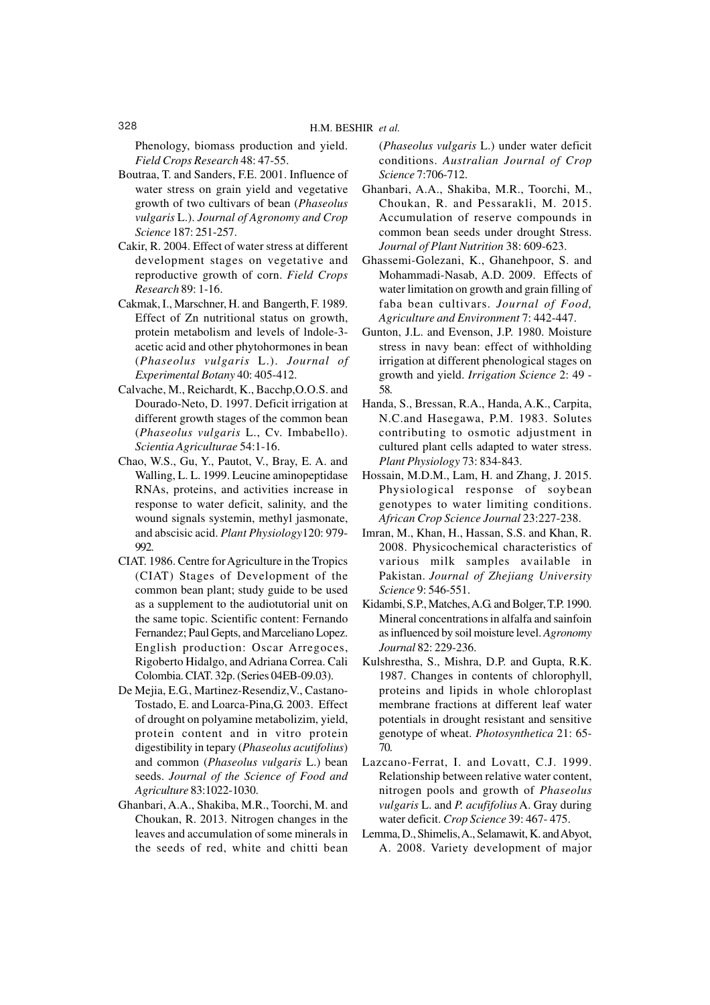Phenology, biomass production and yield. *Field Crops Research* 48: 47-55.

- Boutraa, T. and Sanders, F.E. 2001. Influence of water stress on grain yield and vegetative growth of two cultivars of bean (*Phaseolus vulgaris* L.). *Journal of Agronomy and Crop Science* 187: 251-257.
- Cakir, R. 2004. Effect of water stress at different development stages on vegetative and reproductive growth of corn. *Field Crops Research* 89: 1-16.
- Cakmak, I., Marschner, H. and Bangerth, F. 1989. Effect of Zn nutritional status on growth, protein metabolism and levels of lndole-3 acetic acid and other phytohormones in bean (*Phaseolus vulgaris* L.). *Journal of Experimental Botany* 40: 405-412.
- Calvache, M., Reichardt, K., Bacchp,O.O.S. and Dourado-Neto, D. 1997. Deficit irrigation at different growth stages of the common bean (*Phaseolus vulgaris* L., Cv. Imbabello). *Scientia Agriculturae* 54:1-16.
- Chao, W.S., Gu, Y., Pautot, V., Bray, E. A. and Walling, L. L. 1999. Leucine aminopeptidase RNAs, proteins, and activities increase in response to water deficit, salinity, and the wound signals systemin, methyl jasmonate, and abscisic acid. *Plant Physiology*120: 979- 992.
- CIAT. 1986. Centre for Agriculture in the Tropics (CIAT) Stages of Development of the common bean plant; study guide to be used as a supplement to the audiotutorial unit on the same topic. Scientific content: Fernando Fernandez; Paul Gepts, and Marceliano Lopez. English production: Oscar Arregoces, Rigoberto Hidalgo, and Adriana Correa. Cali Colombia. CIAT. 32p. (Series 04EB-09.03).
- De Mejia, E.G., Martinez-Resendiz,V., Castano-Tostado, E. and Loarca-Pina,G. 2003. Effect of drought on polyamine metabolizim, yield, protein content and in vitro protein digestibility in tepary (*Phaseolus acutifolius*) and common (*Phaseolus vulgaris* L.) bean seeds. *Journal of the Science of Food and Agriculture* 83:1022-1030.
- Ghanbari, A.A., Shakiba, M.R., Toorchi, M. and Choukan, R. 2013. Nitrogen changes in the leaves and accumulation of some minerals in the seeds of red, white and chitti bean

(*Phaseolus vulgaris* L.) under water deficit conditions. *Australian Journal of Crop Science* 7:706-712.

- Ghanbari, A.A., Shakiba, M.R., Toorchi, M., Choukan, R. and Pessarakli, M. 2015. Accumulation of reserve compounds in common bean seeds under drought Stress. *Journal of Plant Nutrition* 38: 609-623.
- Ghassemi-Golezani, K., Ghanehpoor, S. and Mohammadi-Nasab, A.D. 2009. Effects of water limitation on growth and grain filling of faba bean cultivars. *Journal of Food, Agriculture and Environment* 7: 442-447.
- Gunton, J.L. and Evenson, J.P. 1980. Moisture stress in navy bean: effect of withholding irrigation at different phenological stages on growth and yield. *Irrigation Science* 2: 49 - 58.
- Handa, S., Bressan, R.A., Handa, A.K., Carpita, N.C.and Hasegawa, P.M. 1983. Solutes contributing to osmotic adjustment in cultured plant cells adapted to water stress. *Plant Physiology* 73: 834-843.
- Hossain, M.D.M., Lam, H. and Zhang, J. 2015. Physiological response of soybean genotypes to water limiting conditions. *African Crop Science Journal* 23:227-238.
- Imran, M., Khan, H., Hassan, S.S. and Khan, R. 2008. Physicochemical characteristics of various milk samples available in Pakistan. *Journal of Zhejiang University Science* 9: 546-551.
- Kidambi, S.P., Matches, A.G. and Bolger, T.P. 1990. Mineral concentrations in alfalfa and sainfoin as influenced by soil moisture level. *Agronomy Journal* 82: 229-236.
- Kulshrestha, S., Mishra, D.P. and Gupta, R.K. 1987. Changes in contents of chlorophyll, proteins and lipids in whole chloroplast membrane fractions at different leaf water potentials in drought resistant and sensitive genotype of wheat. *Photosynthetica* 21: 65- 70.
- Lazcano-Ferrat, I. and Lovatt, C.J. 1999. Relationship between relative water content, nitrogen pools and growth of *Phaseolus vulgaris* L. and *P. acufifolius* A. Gray during water deficit. *Crop Science* 39: 467- 475.
- Lemma, D., Shimelis, A., Selamawit, K. and Abyot, A. 2008. Variety development of major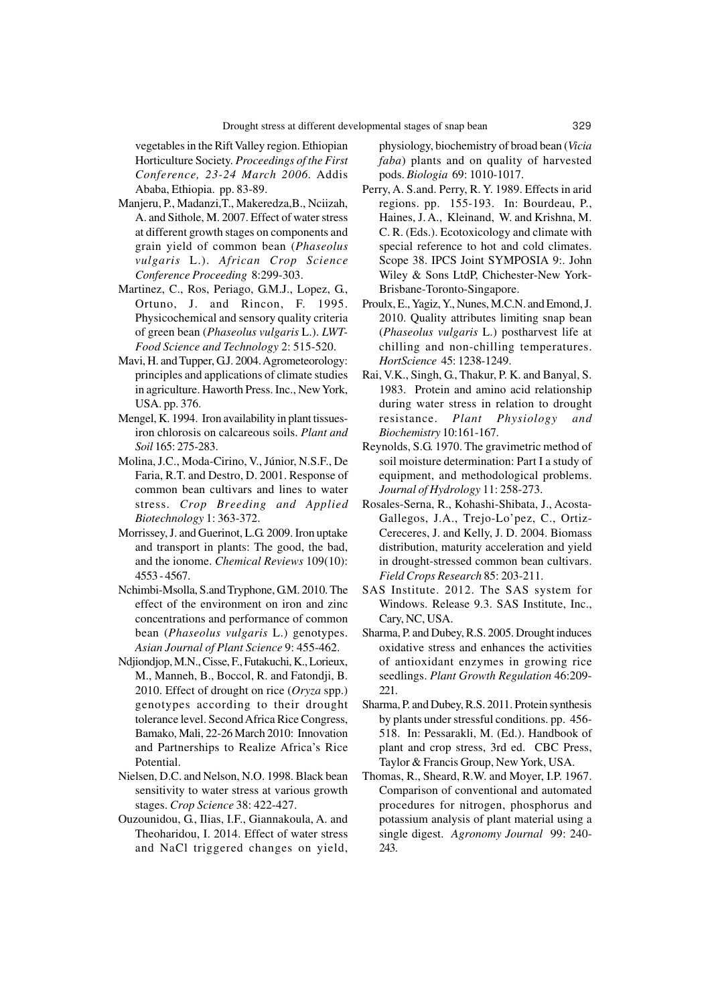vegetables in the Rift Valley region. Ethiopian Horticulture Society. *Proceedings of the First Conference, 23-24 March 2006.* Addis Ababa, Ethiopia. pp. 83-89.

- Manjeru, P., Madanzi,T., Makeredza,B., Nciizah, A. and Sithole, M. 2007. Effect of water stress at different growth stages on components and grain yield of common bean (*Phaseolus vulgaris* L.). *African Crop Science Conference Proceeding* 8:299-303.
- Martinez, C., Ros, Periago, G.M.J., Lopez, G., Ortuno, J. and Rincon, F. 1995. Physicochemical and sensory quality criteria of green bean (*Phaseolus vulgaris* L.). *LWT-Food Science and Technology* 2: 515-520.
- Mavi, H. and Tupper, G.J. 2004. Agrometeorology: principles and applications of climate studies in agriculture. Haworth Press. Inc., New York, USA. pp. 376.
- Mengel, K. 1994. Iron availability in plant tissuesiron chlorosis on calcareous soils. *Plant and Soil* 165: 275-283.
- Molina, J.C., Moda-Cirino, V., Júnior, N.S.F., De Faria, R.T. and Destro, D. 2001. Response of common bean cultivars and lines to water stress. *Crop Breeding and Applied Biotechnology* 1: 363-372.
- Morrissey, J. and Guerinot, L.G. 2009. Iron uptake and transport in plants: The good, the bad, and the ionome. *Chemical Reviews* 109(10): 4553 - 4567.
- Nchimbi-Msolla, S.and Tryphone, G.M. 2010. The effect of the environment on iron and zinc concentrations and performance of common bean (*Phaseolus vulgaris* L.) genotypes. *Asian Journal of Plant Science* 9: 455-462.
- Ndjiondjop, M.N., Cisse, F., Futakuchi, K., Lorieux, M., Manneh, B., Boccol, R. and Fatondji, B. 2010. Effect of drought on rice (*Oryza* spp.) genotypes according to their drought tolerance level. Second Africa Rice Congress, Bamako, Mali, 22-26 March 2010: Innovation and Partnerships to Realize Africa's Rice Potential.
- Nielsen, D.C. and Nelson, N.O. 1998. Black bean sensitivity to water stress at various growth stages. *Crop Science* 38: 422-427.
- Ouzounidou, G., Ilias, I.F., Giannakoula, A. and Theoharidou, I. 2014. Effect of water stress and NaCl triggered changes on yield,

physiology, biochemistry of broad bean (*Vicia faba*) plants and on quality of harvested pods. *Biologia* 69: 1010-1017.

- Perry, A. S.and. Perry, R. Y. 1989. Effects in arid regions. pp. 155-193. In: Bourdeau, P., Haines, J. A., Kleinand, W. and Krishna, M. C. R. (Eds.). Ecotoxicology and climate with special reference to hot and cold climates. Scope 38. IPCS Joint SYMPOSIA 9:. John Wiley & Sons LtdP, Chichester-New York-Brisbane-Toronto-Singapore.
- Proulx, E., Yagiz, Y., Nunes, M.C.N. and Emond, J. 2010. Quality attributes limiting snap bean (*Phaseolus vulgaris* L.) postharvest life at chilling and non-chilling temperatures. *HortScience* 45: 1238-1249.
- Rai, V.K., Singh, G., Thakur, P. K. and Banyal, S. 1983. Protein and amino acid relationship during water stress in relation to drought resistance. *Plant Physiology and Biochemistry* 10:161-167.
- Reynolds, S.G. 1970. The gravimetric method of soil moisture determination: Part I a study of equipment, and methodological problems. *Journal of Hydrology* 11: 258-273.
- Rosales-Serna, R., Kohashi-Shibata, J., Acosta-Gallegos, J.A., Trejo-Lo'pez, C., Ortiz-Cereceres, J. and Kelly, J. D. 2004. Biomass distribution, maturity acceleration and yield in drought-stressed common bean cultivars. *Field Crops Research* 85: 203-211.
- SAS Institute. 2012. The SAS system for Windows. Release 9.3. SAS Institute, Inc., Cary, NC, USA.
- Sharma, P. and Dubey, R.S. 2005. Drought induces oxidative stress and enhances the activities of antioxidant enzymes in growing rice seedlings. *Plant Growth Regulation* 46:209- 221.
- Sharma, P. and Dubey, R.S. 2011. Protein synthesis by plants under stressful conditions. pp. 456- 518. In: Pessarakli, M. (Ed.). Handbook of plant and crop stress, 3rd ed. CBC Press, Taylor & Francis Group, New York, USA.
- Thomas, R., Sheard, R.W. and Moyer, I.P. 1967. Comparison of conventional and automated procedures for nitrogen, phosphorus and potassium analysis of plant material using a single digest. *Agronomy Journal* 99: 240- 243.